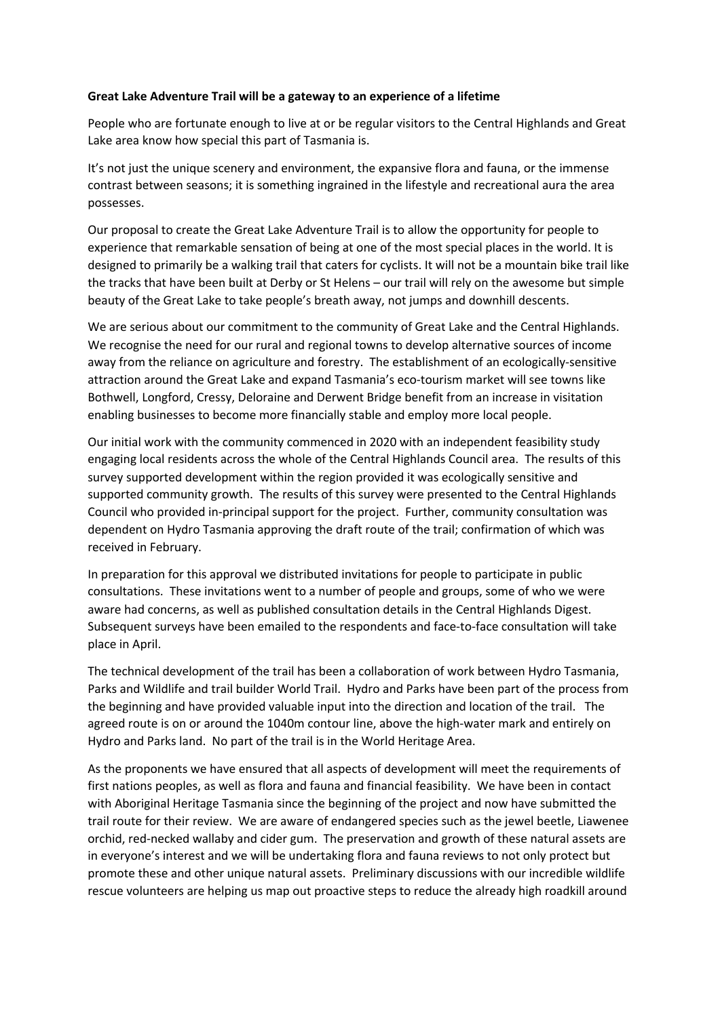## **Great Lake Adventure Trail will be a gateway to an experience of a lifetime**

People who are fortunate enough to live at or be regular visitors to the Central Highlands and Great Lake area know how special this part of Tasmania is.

It's not just the unique scenery and environment, the expansive flora and fauna, or the immense contrast between seasons; it is something ingrained in the lifestyle and recreational aura the area possesses.

Our proposal to create the Great Lake Adventure Trail is to allow the opportunity for people to experience that remarkable sensation of being at one of the most special places in the world. It is designed to primarily be a walking trail that caters for cyclists. It will not be a mountain bike trail like the tracks that have been built at Derby or St Helens – our trail will rely on the awesome but simple beauty of the Great Lake to take people's breath away, not jumps and downhill descents.

We are serious about our commitment to the community of Great Lake and the Central Highlands. We recognise the need for our rural and regional towns to develop alternative sources of income away from the reliance on agriculture and forestry. The establishment of an ecologically-sensitive attraction around the Great Lake and expand Tasmania's eco-tourism market will see towns like Bothwell, Longford, Cressy, Deloraine and Derwent Bridge benefit from an increase in visitation enabling businesses to become more financially stable and employ more local people.

Our initial work with the community commenced in 2020 with an independent feasibility study engaging local residents across the whole of the Central Highlands Council area. The results of this survey supported development within the region provided it was ecologically sensitive and supported community growth. The results of this survey were presented to the Central Highlands Council who provided in-principal support for the project. Further, community consultation was dependent on Hydro Tasmania approving the draft route of the trail; confirmation of which was received in February.

In preparation for this approval we distributed invitations for people to participate in public consultations. These invitations went to a number of people and groups, some of who we were aware had concerns, as well as published consultation details in the Central Highlands Digest. Subsequent surveys have been emailed to the respondents and face-to-face consultation will take place in April.

The technical development of the trail has been a collaboration of work between Hydro Tasmania, Parks and Wildlife and trail builder World Trail. Hydro and Parks have been part of the process from the beginning and have provided valuable input into the direction and location of the trail. The agreed route is on or around the 1040m contour line, above the high-water mark and entirely on Hydro and Parks land. No part of the trail is in the World Heritage Area.

As the proponents we have ensured that all aspects of development will meet the requirements of first nations peoples, as well as flora and fauna and financial feasibility. We have been in contact with Aboriginal Heritage Tasmania since the beginning of the project and now have submitted the trail route for their review. We are aware of endangered species such as the jewel beetle, Liawenee orchid, red-necked wallaby and cider gum. The preservation and growth of these natural assets are in everyone's interest and we will be undertaking flora and fauna reviews to not only protect but promote these and other unique natural assets. Preliminary discussions with our incredible wildlife rescue volunteers are helping us map out proactive steps to reduce the already high roadkill around